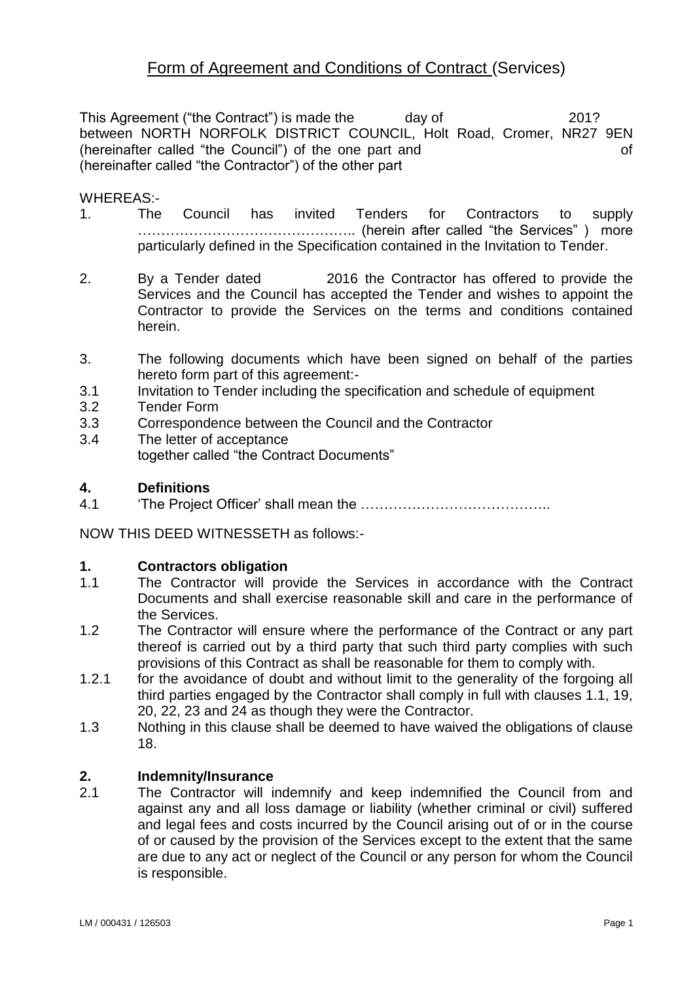# Form of Agreement and Conditions of Contract (Services)

This Agreement ("the Contract") is made the day of 201? between NORTH NORFOLK DISTRICT COUNCIL, Holt Road, Cromer, NR27 9EN (hereinafter called "the Council") of the one part and of (hereinafter called "the Contractor") of the other part

#### WHEREAS:-

- 1. The Council has invited Tenders for Contractors to supply ……………………………………….. (herein after called "the Services" ) more particularly defined in the Specification contained in the Invitation to Tender.
- 2. By a Tender dated 2016 the Contractor has offered to provide the Services and the Council has accepted the Tender and wishes to appoint the Contractor to provide the Services on the terms and conditions contained herein.
- 3. The following documents which have been signed on behalf of the parties hereto form part of this agreement:-
- 3.1 Invitation to Tender including the specification and schedule of equipment
- 3.2 Tender Form
- 3.3 Correspondence between the Council and the Contractor
- 3.4 The letter of acceptance together called "the Contract Documents"

# **4. Definitions**

4.1 'The Project Officer' shall mean the …………………………………..

NOW THIS DEED WITNESSETH as follows:-

#### **1. Contractors obligation**

- 1.1 The Contractor will provide the Services in accordance with the Contract Documents and shall exercise reasonable skill and care in the performance of the Services.
- 1.2 The Contractor will ensure where the performance of the Contract or any part thereof is carried out by a third party that such third party complies with such provisions of this Contract as shall be reasonable for them to comply with.
- 1.2.1 for the avoidance of doubt and without limit to the generality of the forgoing all third parties engaged by the Contractor shall comply in full with clauses 1.1, 19, 20, 22, 23 and 24 as though they were the Contractor.
- 1.3 Nothing in this clause shall be deemed to have waived the obligations of clause 18.

#### **2. Indemnity/Insurance**

2.1 The Contractor will indemnify and keep indemnified the Council from and against any and all loss damage or liability (whether criminal or civil) suffered and legal fees and costs incurred by the Council arising out of or in the course of or caused by the provision of the Services except to the extent that the same are due to any act or neglect of the Council or any person for whom the Council is responsible.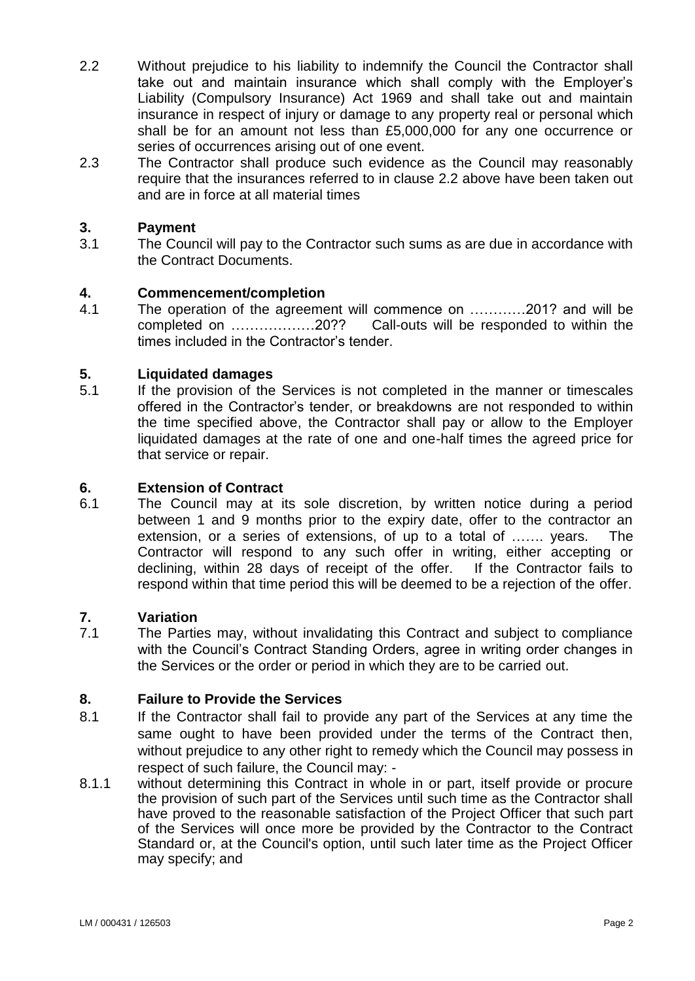- 2.2 Without prejudice to his liability to indemnify the Council the Contractor shall take out and maintain insurance which shall comply with the Employer's Liability (Compulsory Insurance) Act 1969 and shall take out and maintain insurance in respect of injury or damage to any property real or personal which shall be for an amount not less than £5,000,000 for any one occurrence or series of occurrences arising out of one event.
- 2.3 The Contractor shall produce such evidence as the Council may reasonably require that the insurances referred to in clause 2.2 above have been taken out and are in force at all material times

#### **3. Payment**

3.1 The Council will pay to the Contractor such sums as are due in accordance with the Contract Documents.

# **4. Commencement/completion**

4.1 The operation of the agreement will commence on …………201? and will be completed on ………………20?? Call-outs will be responded to within the times included in the Contractor's tender.

#### **5. Liquidated damages**

5.1 If the provision of the Services is not completed in the manner or timescales offered in the Contractor's tender, or breakdowns are not responded to within the time specified above, the Contractor shall pay or allow to the Employer liquidated damages at the rate of one and one-half times the agreed price for that service or repair.

# **6. Extension of Contract**

6.1 The Council may at its sole discretion, by written notice during a period between 1 and 9 months prior to the expiry date, offer to the contractor an extension, or a series of extensions, of up to a total of ……. years. The Contractor will respond to any such offer in writing, either accepting or declining, within 28 days of receipt of the offer. If the Contractor fails to respond within that time period this will be deemed to be a rejection of the offer.

#### **7. Variation**

7.1 The Parties may, without invalidating this Contract and subject to compliance with the Council's Contract Standing Orders, agree in writing order changes in the Services or the order or period in which they are to be carried out.

#### **8. Failure to Provide the Services**

- 8.1 If the Contractor shall fail to provide any part of the Services at any time the same ought to have been provided under the terms of the Contract then, without prejudice to any other right to remedy which the Council may possess in respect of such failure, the Council may: -
- 8.1.1 without determining this Contract in whole in or part, itself provide or procure the provision of such part of the Services until such time as the Contractor shall have proved to the reasonable satisfaction of the Project Officer that such part of the Services will once more be provided by the Contractor to the Contract Standard or, at the Council's option, until such later time as the Project Officer may specify; and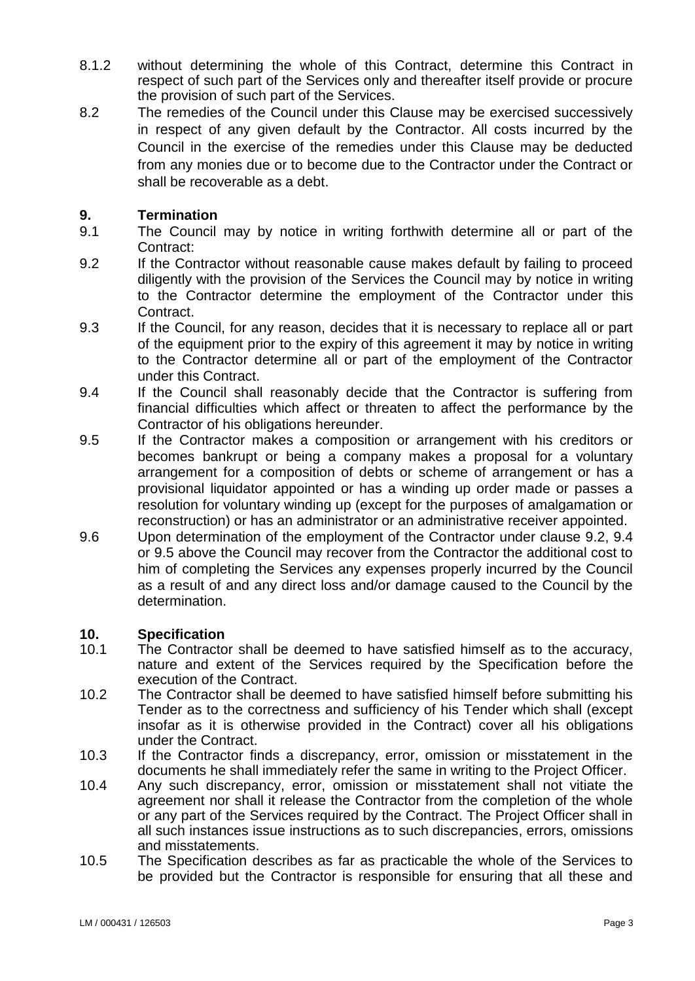- 8.1.2 without determining the whole of this Contract, determine this Contract in respect of such part of the Services only and thereafter itself provide or procure the provision of such part of the Services.
- 8.2 The remedies of the Council under this Clause may be exercised successively in respect of any given default by the Contractor. All costs incurred by the Council in the exercise of the remedies under this Clause may be deducted from any monies due or to become due to the Contractor under the Contract or shall be recoverable as a debt.

# **9. Termination**

- 9.1 The Council may by notice in writing forthwith determine all or part of the Contract:
- 9.2 If the Contractor without reasonable cause makes default by failing to proceed diligently with the provision of the Services the Council may by notice in writing to the Contractor determine the employment of the Contractor under this Contract.
- 9.3 If the Council, for any reason, decides that it is necessary to replace all or part of the equipment prior to the expiry of this agreement it may by notice in writing to the Contractor determine all or part of the employment of the Contractor under this Contract.
- 9.4 If the Council shall reasonably decide that the Contractor is suffering from financial difficulties which affect or threaten to affect the performance by the Contractor of his obligations hereunder.
- 9.5 If the Contractor makes a composition or arrangement with his creditors or becomes bankrupt or being a company makes a proposal for a voluntary arrangement for a composition of debts or scheme of arrangement or has a provisional liquidator appointed or has a winding up order made or passes a resolution for voluntary winding up (except for the purposes of amalgamation or reconstruction) or has an administrator or an administrative receiver appointed.
- 9.6 Upon determination of the employment of the Contractor under clause 9.2, 9.4 or 9.5 above the Council may recover from the Contractor the additional cost to him of completing the Services any expenses properly incurred by the Council as a result of and any direct loss and/or damage caused to the Council by the determination.

#### **10. Specification**

- 10.1 The Contractor shall be deemed to have satisfied himself as to the accuracy, nature and extent of the Services required by the Specification before the execution of the Contract.
- 10.2 The Contractor shall be deemed to have satisfied himself before submitting his Tender as to the correctness and sufficiency of his Tender which shall (except insofar as it is otherwise provided in the Contract) cover all his obligations under the Contract.
- 10.3 If the Contractor finds a discrepancy, error, omission or misstatement in the documents he shall immediately refer the same in writing to the Project Officer.
- 10.4 Any such discrepancy, error, omission or misstatement shall not vitiate the agreement nor shall it release the Contractor from the completion of the whole or any part of the Services required by the Contract. The Project Officer shall in all such instances issue instructions as to such discrepancies, errors, omissions and misstatements.
- 10.5 The Specification describes as far as practicable the whole of the Services to be provided but the Contractor is responsible for ensuring that all these and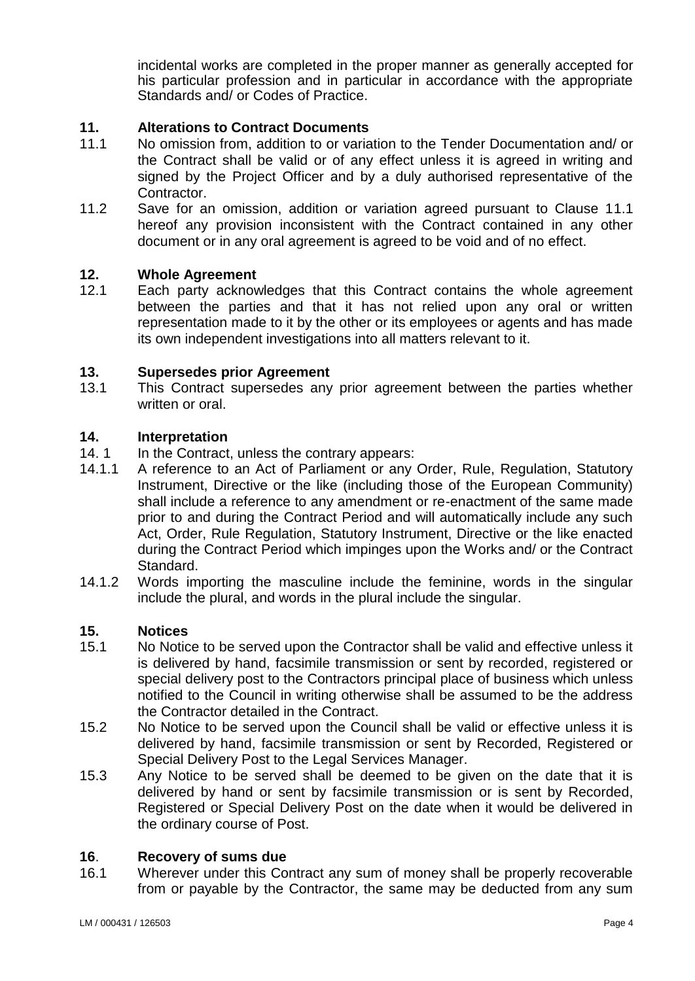incidental works are completed in the proper manner as generally accepted for his particular profession and in particular in accordance with the appropriate Standards and/ or Codes of Practice.

# **11. Alterations to Contract Documents**

- 11.1 No omission from, addition to or variation to the Tender Documentation and/ or the Contract shall be valid or of any effect unless it is agreed in writing and signed by the Project Officer and by a duly authorised representative of the Contractor.
- 11.2 Save for an omission, addition or variation agreed pursuant to Clause 11.1 hereof any provision inconsistent with the Contract contained in any other document or in any oral agreement is agreed to be void and of no effect.

#### **12. Whole Agreement**

12.1 Each party acknowledges that this Contract contains the whole agreement between the parties and that it has not relied upon any oral or written representation made to it by the other or its employees or agents and has made its own independent investigations into all matters relevant to it.

#### **13. Supersedes prior Agreement**

13.1 This Contract supersedes any prior agreement between the parties whether written or oral.

#### **14. Interpretation**

- 14. 1 In the Contract, unless the contrary appears:
- 14.1.1 A reference to an Act of Parliament or any Order, Rule, Regulation, Statutory Instrument, Directive or the like (including those of the European Community) shall include a reference to any amendment or re-enactment of the same made prior to and during the Contract Period and will automatically include any such Act, Order, Rule Regulation, Statutory Instrument, Directive or the like enacted during the Contract Period which impinges upon the Works and/ or the Contract Standard.
- 14.1.2 Words importing the masculine include the feminine, words in the singular include the plural, and words in the plural include the singular.

#### **15. Notices**

- 15.1 No Notice to be served upon the Contractor shall be valid and effective unless it is delivered by hand, facsimile transmission or sent by recorded, registered or special delivery post to the Contractors principal place of business which unless notified to the Council in writing otherwise shall be assumed to be the address the Contractor detailed in the Contract.
- 15.2 No Notice to be served upon the Council shall be valid or effective unless it is delivered by hand, facsimile transmission or sent by Recorded, Registered or Special Delivery Post to the Legal Services Manager.
- 15.3 Any Notice to be served shall be deemed to be given on the date that it is delivered by hand or sent by facsimile transmission or is sent by Recorded, Registered or Special Delivery Post on the date when it would be delivered in the ordinary course of Post.

#### **16**. **Recovery of sums due**

16.1 Wherever under this Contract any sum of money shall be properly recoverable from or payable by the Contractor, the same may be deducted from any sum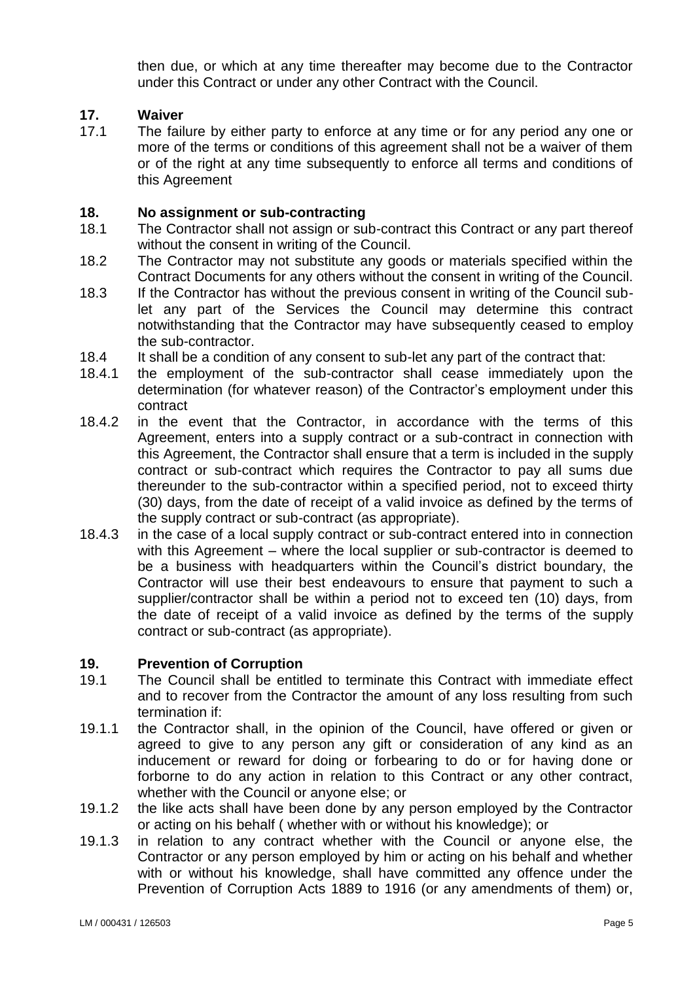then due, or which at any time thereafter may become due to the Contractor under this Contract or under any other Contract with the Council.

#### **17. Waiver**

17.1 The failure by either party to enforce at any time or for any period any one or more of the terms or conditions of this agreement shall not be a waiver of them or of the right at any time subsequently to enforce all terms and conditions of this Agreement

#### **18. No assignment or sub-contracting**

- 18.1 The Contractor shall not assign or sub-contract this Contract or any part thereof without the consent in writing of the Council.
- 18.2 The Contractor may not substitute any goods or materials specified within the Contract Documents for any others without the consent in writing of the Council.
- 18.3 If the Contractor has without the previous consent in writing of the Council sublet any part of the Services the Council may determine this contract notwithstanding that the Contractor may have subsequently ceased to employ the sub-contractor.
- 18.4 It shall be a condition of any consent to sub-let any part of the contract that:
- 18.4.1 the employment of the sub-contractor shall cease immediately upon the determination (for whatever reason) of the Contractor's employment under this contract
- 18.4.2 in the event that the Contractor, in accordance with the terms of this Agreement, enters into a supply contract or a sub-contract in connection with this Agreement, the Contractor shall ensure that a term is included in the supply contract or sub-contract which requires the Contractor to pay all sums due thereunder to the sub-contractor within a specified period, not to exceed thirty (30) days, from the date of receipt of a valid invoice as defined by the terms of the supply contract or sub-contract (as appropriate).
- 18.4.3 in the case of a local supply contract or sub-contract entered into in connection with this Agreement – where the local supplier or sub-contractor is deemed to be a business with headquarters within the Council's district boundary, the Contractor will use their best endeavours to ensure that payment to such a supplier/contractor shall be within a period not to exceed ten (10) days, from the date of receipt of a valid invoice as defined by the terms of the supply contract or sub-contract (as appropriate).

#### **19. Prevention of Corruption**

- 19.1 The Council shall be entitled to terminate this Contract with immediate effect and to recover from the Contractor the amount of any loss resulting from such termination if:
- 19.1.1 the Contractor shall, in the opinion of the Council, have offered or given or agreed to give to any person any gift or consideration of any kind as an inducement or reward for doing or forbearing to do or for having done or forborne to do any action in relation to this Contract or any other contract, whether with the Council or anyone else; or
- 19.1.2 the like acts shall have been done by any person employed by the Contractor or acting on his behalf ( whether with or without his knowledge); or
- 19.1.3 in relation to any contract whether with the Council or anyone else, the Contractor or any person employed by him or acting on his behalf and whether with or without his knowledge, shall have committed any offence under the Prevention of Corruption Acts 1889 to 1916 (or any amendments of them) or,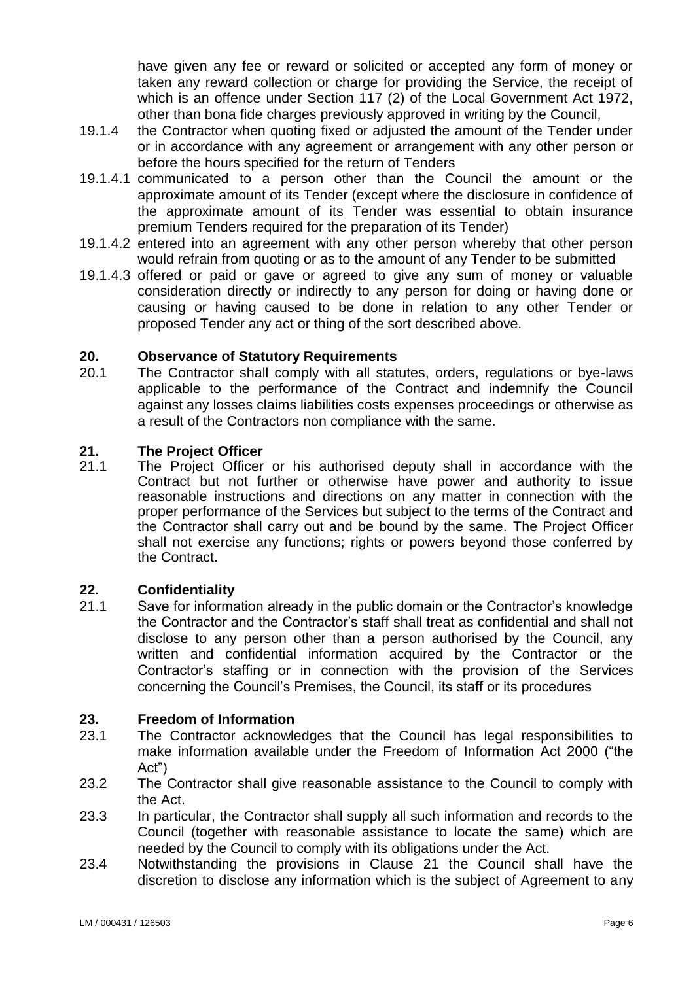have given any fee or reward or solicited or accepted any form of money or taken any reward collection or charge for providing the Service, the receipt of which is an offence under Section 117 (2) of the Local Government Act 1972, other than bona fide charges previously approved in writing by the Council,

- 19.1.4 the Contractor when quoting fixed or adjusted the amount of the Tender under or in accordance with any agreement or arrangement with any other person or before the hours specified for the return of Tenders
- 19.1.4.1 communicated to a person other than the Council the amount or the approximate amount of its Tender (except where the disclosure in confidence of the approximate amount of its Tender was essential to obtain insurance premium Tenders required for the preparation of its Tender)
- 19.1.4.2 entered into an agreement with any other person whereby that other person would refrain from quoting or as to the amount of any Tender to be submitted
- 19.1.4.3 offered or paid or gave or agreed to give any sum of money or valuable consideration directly or indirectly to any person for doing or having done or causing or having caused to be done in relation to any other Tender or proposed Tender any act or thing of the sort described above.

#### **20. Observance of Statutory Requirements**

20.1 The Contractor shall comply with all statutes, orders, regulations or bye-laws applicable to the performance of the Contract and indemnify the Council against any losses claims liabilities costs expenses proceedings or otherwise as a result of the Contractors non compliance with the same.

# **21. The Project Officer**

The Project Officer or his authorised deputy shall in accordance with the Contract but not further or otherwise have power and authority to issue reasonable instructions and directions on any matter in connection with the proper performance of the Services but subject to the terms of the Contract and the Contractor shall carry out and be bound by the same. The Project Officer shall not exercise any functions; rights or powers beyond those conferred by the Contract.

#### **22. Confidentiality**

21.1 Save for information already in the public domain or the Contractor's knowledge the Contractor and the Contractor's staff shall treat as confidential and shall not disclose to any person other than a person authorised by the Council, any written and confidential information acquired by the Contractor or the Contractor's staffing or in connection with the provision of the Services concerning the Council's Premises, the Council, its staff or its procedures

#### **23. Freedom of Information**

- 23.1 The Contractor acknowledges that the Council has legal responsibilities to make information available under the Freedom of Information Act 2000 ("the Act")
- 23.2 The Contractor shall give reasonable assistance to the Council to comply with the Act.
- 23.3 In particular, the Contractor shall supply all such information and records to the Council (together with reasonable assistance to locate the same) which are needed by the Council to comply with its obligations under the Act.
- 23.4 Notwithstanding the provisions in Clause 21 the Council shall have the discretion to disclose any information which is the subject of Agreement to any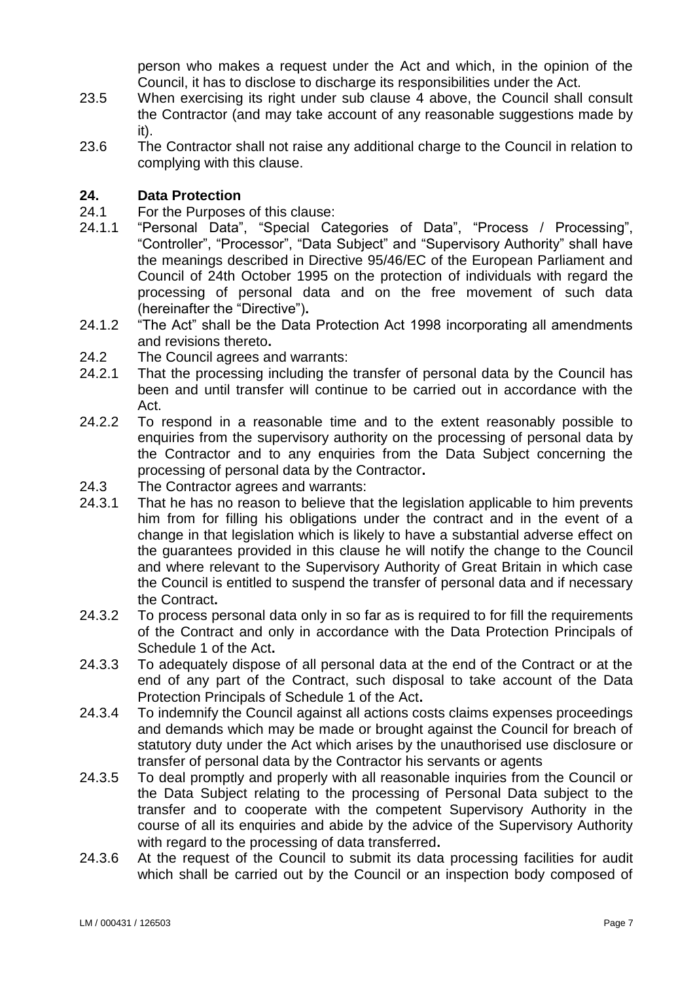person who makes a request under the Act and which, in the opinion of the Council, it has to disclose to discharge its responsibilities under the Act.

- 23.5 When exercising its right under sub clause 4 above, the Council shall consult the Contractor (and may take account of any reasonable suggestions made by it).
- 23.6 The Contractor shall not raise any additional charge to the Council in relation to complying with this clause.

# **24. Data Protection**

- 24.1 For the Purposes of this clause:
- 24.1.1 "Personal Data", "Special Categories of Data", "Process / Processing", "Controller", "Processor", "Data Subject" and "Supervisory Authority" shall have the meanings described in Directive 95/46/EC of the European Parliament and Council of 24th October 1995 on the protection of individuals with regard the processing of personal data and on the free movement of such data (hereinafter the "Directive")**.**
- 24.1.2 "The Act" shall be the Data Protection Act 1998 incorporating all amendments and revisions thereto**.**
- 24.2 The Council agrees and warrants:
- 24.2.1 That the processing including the transfer of personal data by the Council has been and until transfer will continue to be carried out in accordance with the Act.
- 24.2.2 To respond in a reasonable time and to the extent reasonably possible to enquiries from the supervisory authority on the processing of personal data by the Contractor and to any enquiries from the Data Subject concerning the processing of personal data by the Contractor**.**
- 24.3 The Contractor agrees and warrants:
- 24.3.1 That he has no reason to believe that the legislation applicable to him prevents him from for filling his obligations under the contract and in the event of a change in that legislation which is likely to have a substantial adverse effect on the guarantees provided in this clause he will notify the change to the Council and where relevant to the Supervisory Authority of Great Britain in which case the Council is entitled to suspend the transfer of personal data and if necessary the Contract**.**
- 24.3.2 To process personal data only in so far as is required to for fill the requirements of the Contract and only in accordance with the Data Protection Principals of Schedule 1 of the Act**.**
- 24.3.3 To adequately dispose of all personal data at the end of the Contract or at the end of any part of the Contract, such disposal to take account of the Data Protection Principals of Schedule 1 of the Act**.**
- 24.3.4 To indemnify the Council against all actions costs claims expenses proceedings and demands which may be made or brought against the Council for breach of statutory duty under the Act which arises by the unauthorised use disclosure or transfer of personal data by the Contractor his servants or agents
- 24.3.5 To deal promptly and properly with all reasonable inquiries from the Council or the Data Subject relating to the processing of Personal Data subject to the transfer and to cooperate with the competent Supervisory Authority in the course of all its enquiries and abide by the advice of the Supervisory Authority with regard to the processing of data transferred**.**
- 24.3.6 At the request of the Council to submit its data processing facilities for audit which shall be carried out by the Council or an inspection body composed of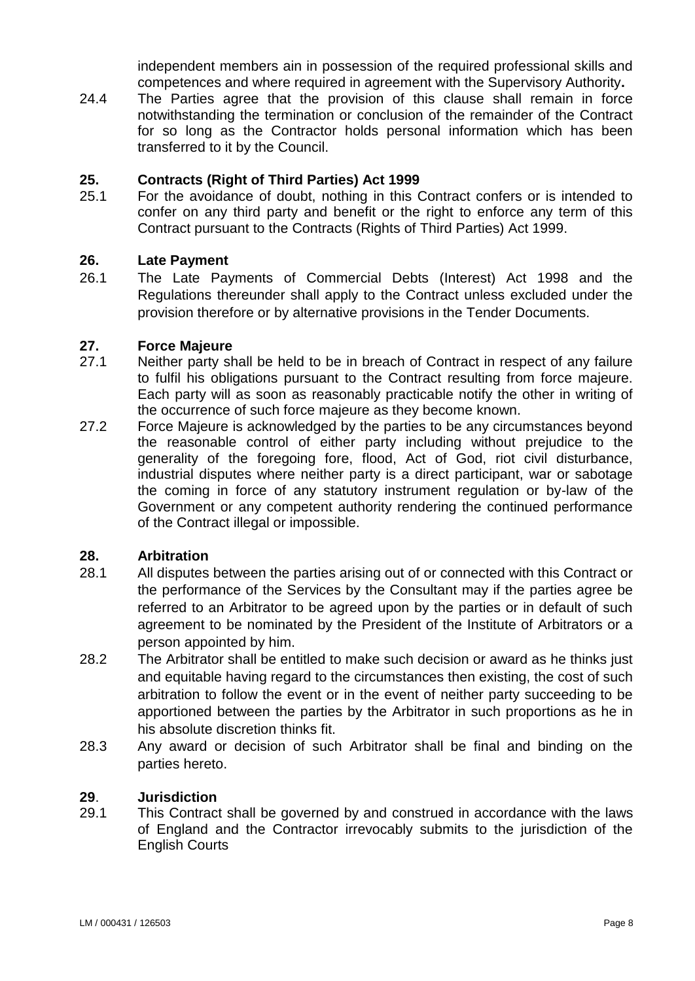independent members ain in possession of the required professional skills and competences and where required in agreement with the Supervisory Authority**.**

24.4 The Parties agree that the provision of this clause shall remain in force notwithstanding the termination or conclusion of the remainder of the Contract for so long as the Contractor holds personal information which has been transferred to it by the Council.

# **25. Contracts (Right of Third Parties) Act 1999**

25.1 For the avoidance of doubt, nothing in this Contract confers or is intended to confer on any third party and benefit or the right to enforce any term of this Contract pursuant to the Contracts (Rights of Third Parties) Act 1999.

# **26. Late Payment**

26.1 The Late Payments of Commercial Debts (Interest) Act 1998 and the Regulations thereunder shall apply to the Contract unless excluded under the provision therefore or by alternative provisions in the Tender Documents.

#### **27. Force Majeure**

- 27.1 Neither party shall be held to be in breach of Contract in respect of any failure to fulfil his obligations pursuant to the Contract resulting from force majeure. Each party will as soon as reasonably practicable notify the other in writing of the occurrence of such force majeure as they become known.
- 27.2 Force Majeure is acknowledged by the parties to be any circumstances beyond the reasonable control of either party including without prejudice to the generality of the foregoing fore, flood, Act of God, riot civil disturbance, industrial disputes where neither party is a direct participant, war or sabotage the coming in force of any statutory instrument regulation or by-law of the Government or any competent authority rendering the continued performance of the Contract illegal or impossible.

#### **28. Arbitration**

- 28.1 All disputes between the parties arising out of or connected with this Contract or the performance of the Services by the Consultant may if the parties agree be referred to an Arbitrator to be agreed upon by the parties or in default of such agreement to be nominated by the President of the Institute of Arbitrators or a person appointed by him.
- 28.2 The Arbitrator shall be entitled to make such decision or award as he thinks just and equitable having regard to the circumstances then existing, the cost of such arbitration to follow the event or in the event of neither party succeeding to be apportioned between the parties by the Arbitrator in such proportions as he in his absolute discretion thinks fit.
- 28.3 Any award or decision of such Arbitrator shall be final and binding on the parties hereto.

#### **29**. **Jurisdiction**

29.1 This Contract shall be governed by and construed in accordance with the laws of England and the Contractor irrevocably submits to the jurisdiction of the English Courts